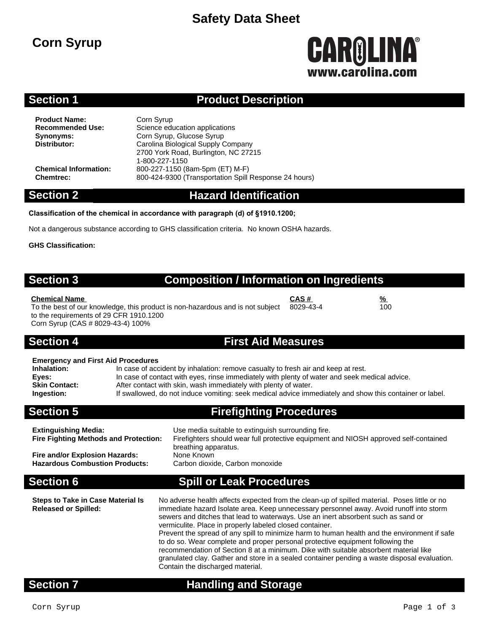# **Safety Data Sheet**

# **Corn Syrup**

# **GAROLINA®** www.carolina.co

# **Section 1 Product Description**

**Product Name:** Corn Syrup<br> **Recommended Use:** Science edu

**Science education applications Synonyms:** Corn Syrup, Glucose Syrup<br>
Distributor: Carolina Biological Supply C **Distributor:** Carolina Biological Supply Company 2700 York Road, Burlington, NC 27215 1-800-227-1150 **Chemical Information:** 800-227-1150 (8am-5pm (ET) M-F) **Chemtrec:** 800-424-9300 (Transportation Spill Response 24 hours)

### **Section 2 Hazard Identification**

### **Classification of the chemical in accordance with paragraph (d) of §1910.1200;**

Not a dangerous substance according to GHS classification criteria. No known OSHA hazards.

**GHS Classification:**

# **Section 3 Composition / Information on Ingredients**

**Chemical Name CAS # %** To the best of our knowledge, this product is non-hazardous and is not subject to the requirements of 29 CFR 1910.1200 Corn Syrup (CAS # 8029-43-4) 100% 8029-43-4

### **Section 4 First Aid Measures**

| <b>Emergency and First Aid Procedures</b> |  |  |  |
|-------------------------------------------|--|--|--|
|                                           |  |  |  |

| Inhalation:          | In case of accident by inhalation: remove casualty to fresh air and keep at rest.                       |
|----------------------|---------------------------------------------------------------------------------------------------------|
| Eyes:                | In case of contact with eyes, rinse immediately with plenty of water and seek medical advice.           |
| <b>Skin Contact:</b> | After contact with skin, wash immediately with plenty of water.                                         |
| <b>Ingestion:</b>    | If swallowed, do not induce vomiting: seek medical advice immediately and show this container or label. |
|                      |                                                                                                         |

**Section 5 Firefighting Procedures**

**Extinguishing Media:** Use media suitable to extinguish surrounding fire. **Fire Fighting Methods and Protection:** Firefighters should wear full protective equipment and NIOSH approved self-contained

breathing apparatus. **Fire and/or Explosion Hazards:** None Known<br>**Hazardous Combustion Products:** Carbon dioxide. Carbon monoxide **Hazardous Combustion Products:** 

# **Section 6 Spill or Leak Procedures**

**Steps to Take in Case Material Is Released or Spilled:**

No adverse health affects expected from the clean-up of spilled material. Poses little or no immediate hazard Isolate area. Keep unnecessary personnel away. Avoid runoff into storm sewers and ditches that lead to waterways. Use an inert absorbent such as sand or vermiculite. Place in properly labeled closed container. Prevent the spread of any spill to minimize harm to human health and the environment if safe to do so. Wear complete and proper personal protective equipment following the recommendation of Section 8 at a minimum. Dike with suitable absorbent material like granulated clay. Gather and store in a sealed container pending a waste disposal evaluation. Contain the discharged material.

# **Section 7 Handling and Storage**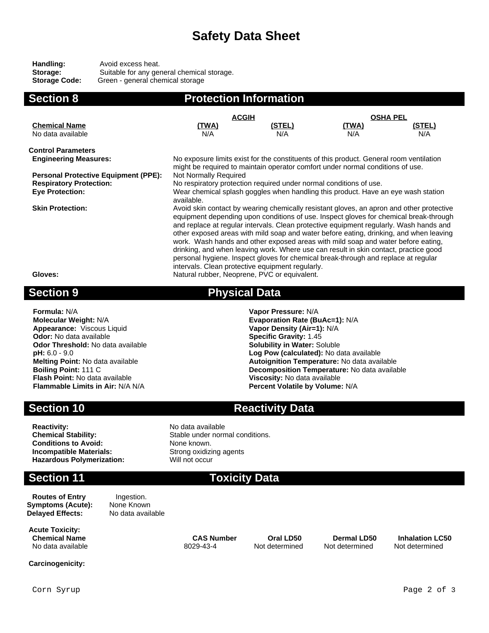# **Safety Data Sheet**

| Handling:            | Avoid excess heat.                         |
|----------------------|--------------------------------------------|
| Storage:             | Suitable for any general chemical storage. |
| <b>Storage Code:</b> | Green - general chemical storage           |

| <b>Section 8</b>                            | <b>Protection Information</b>                                                                                                                                                                                                                                                                                                                                                                                                                                                                                                                                                                                                                                                               |                                                                    |              |        |  |
|---------------------------------------------|---------------------------------------------------------------------------------------------------------------------------------------------------------------------------------------------------------------------------------------------------------------------------------------------------------------------------------------------------------------------------------------------------------------------------------------------------------------------------------------------------------------------------------------------------------------------------------------------------------------------------------------------------------------------------------------------|--------------------------------------------------------------------|--------------|--------|--|
|                                             | <b>ACGIH</b>                                                                                                                                                                                                                                                                                                                                                                                                                                                                                                                                                                                                                                                                                | <b>OSHA PEL</b>                                                    |              |        |  |
| <b>Chemical Name</b>                        | <u>(TWA)</u>                                                                                                                                                                                                                                                                                                                                                                                                                                                                                                                                                                                                                                                                                | (STEL)                                                             | <u>(TWA)</u> | (STEL) |  |
| No data available                           | N/A                                                                                                                                                                                                                                                                                                                                                                                                                                                                                                                                                                                                                                                                                         | N/A                                                                | N/A          | N/A    |  |
| <b>Control Parameters</b>                   |                                                                                                                                                                                                                                                                                                                                                                                                                                                                                                                                                                                                                                                                                             |                                                                    |              |        |  |
| <b>Engineering Measures:</b>                | No exposure limits exist for the constituents of this product. General room ventilation<br>might be required to maintain operator comfort under normal conditions of use.                                                                                                                                                                                                                                                                                                                                                                                                                                                                                                                   |                                                                    |              |        |  |
| <b>Personal Protective Equipment (PPE):</b> | Not Normally Required                                                                                                                                                                                                                                                                                                                                                                                                                                                                                                                                                                                                                                                                       |                                                                    |              |        |  |
| <b>Respiratory Protection:</b>              |                                                                                                                                                                                                                                                                                                                                                                                                                                                                                                                                                                                                                                                                                             | No respiratory protection required under normal conditions of use. |              |        |  |
| <b>Eye Protection:</b>                      | Wear chemical splash goggles when handling this product. Have an eye wash station<br>available.                                                                                                                                                                                                                                                                                                                                                                                                                                                                                                                                                                                             |                                                                    |              |        |  |
| <b>Skin Protection:</b>                     | Avoid skin contact by wearing chemically resistant gloves, an apron and other protective<br>equipment depending upon conditions of use. Inspect gloves for chemical break-through<br>and replace at regular intervals. Clean protective equipment regularly. Wash hands and<br>other exposed areas with mild soap and water before eating, drinking, and when leaving<br>work. Wash hands and other exposed areas with mild soap and water before eating,<br>drinking, and when leaving work. Where use can result in skin contact, practice good<br>personal hygiene. Inspect gloves for chemical break-through and replace at regular<br>intervals. Clean protective equipment regularly. |                                                                    |              |        |  |
| Gloves:                                     |                                                                                                                                                                                                                                                                                                                                                                                                                                                                                                                                                                                                                                                                                             | Natural rubber, Neoprene, PVC or equivalent.                       |              |        |  |
| <b>Section 9</b>                            | <b>Physical Data</b>                                                                                                                                                                                                                                                                                                                                                                                                                                                                                                                                                                                                                                                                        |                                                                    |              |        |  |

**Formula:** N/A **Vapor Pressure:** N/A **Appearance:** Viscous Liquid **Vapor Density (Air=1):** N/A **Odor:** No data available **Specific Gravity:** 1.45 **Odor:** No data available **Specific Gravity:** 1.45 **Odor Threshold:** No data available **Specific Gravity:** 1.45 **Columbility** in Water: Soluble **Odor Threshold:** No data available **pH:** 6.0 - 9.0 **Flash Point:** No data available<br>**Flammable Limits in Air:** N/A N/A

**Molecular Weight:** N/A **Evaporation Rate (BuAc=1):** N/A **pH:** 6.0 - 9.0 **Log Pow (calculated):** No data available **Melting Point:** No data available **Autoignition Temperature:** No data available **Boiling Point:** 111 C<br>**Boiling Point:** 111 C **Decomposition Temperature:** No data available<br>Viscosity: No data available **Percent Volatile by Volume: N/A** 

# **Section 10 Reactivity Data**

**Reactivity:** No data available<br> **Chemical Stability:** No data available<br>
Stable under norm **Conditions to Avoid:** None known. **Incompatible Materials:** Strong oxidizing agents **Hazardous Polymerization:** Will not occur

# **Section 11 Toxicity Data**

Stable under normal conditions.

**Routes of Entry lngestion.**<br> **ymptoms (Acute):** None Known **Symptoms (Acute):** None Known<br> **Delaved Effects:** No data available **Delayed Effects:** 

**Acute Toxicity: Chemical Name CAS Number Oral LD50 Dermal LD50 Inhalation LC50** No data available 8029-43-4 Not determined Not determined Not determined

**Carcinogenicity:**